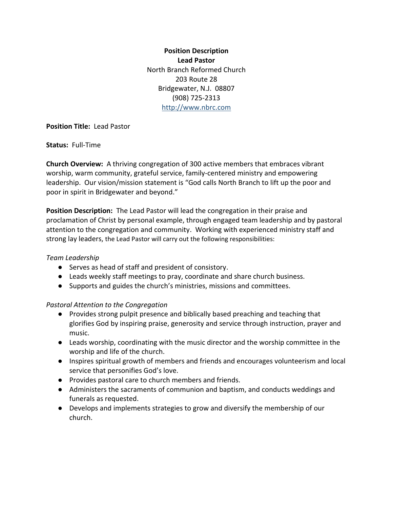**Position Description Lead Pastor**  North Branch Reformed Church 203 Route 28 Bridgewater, N.J. 08807 (908) 725-2313 [http://www.nbrc.com](http://www.nbrc.com/)

### **Position Title:** Lead Pastor

#### **Status:** Full-Time

**Church Overview:** A thriving congregation of 300 active members that embraces vibrant worship, warm community, grateful service, family-centered ministry and empowering leadership. Our vision/mission statement is "God calls North Branch to lift up the poor and poor in spirit in Bridgewater and beyond."

**Position Description:** The Lead Pastor will lead the congregation in their praise and proclamation of Christ by personal example, through engaged team leadership and by pastoral attention to the congregation and community. Working with experienced ministry staff and strong lay leaders, the Lead Pastor will carry out the following responsibilities:

### *Team Leadership*

- Serves as head of staff and president of consistory.
- Leads weekly staff meetings to pray, coordinate and share church business.
- Supports and guides the church's ministries, missions and committees.

### *Pastoral Attention to the Congregation*

- Provides strong pulpit presence and biblically based preaching and teaching that glorifies God by inspiring praise, generosity and service through instruction, prayer and music.
- Leads worship, coordinating with the music director and the worship committee in the worship and life of the church.
- Inspires spiritual growth of members and friends and encourages volunteerism and local service that personifies God's love.
- Provides pastoral care to church members and friends.
- Administers the sacraments of communion and baptism, and conducts weddings and funerals as requested.
- Develops and implements strategies to grow and diversify the membership of our church.